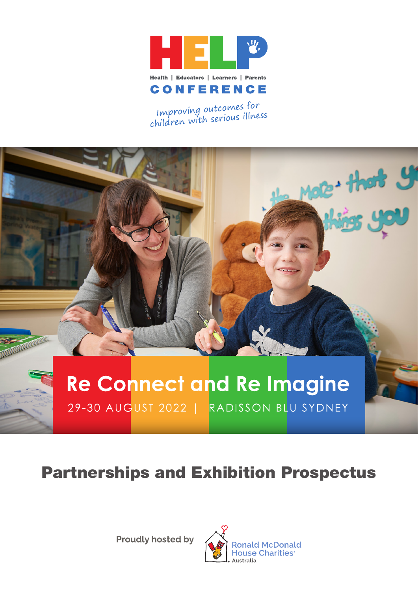

Improving outcomes for<br>children with serious illness

# Mote + that y **REAL PROPERTY Re Connect and Re Imagine** 29-30 AUGUST 2022 | RADISSON BLU SYDNEY

# Partnerships and Exhibition Prospectus

**Proudly hosted by** 

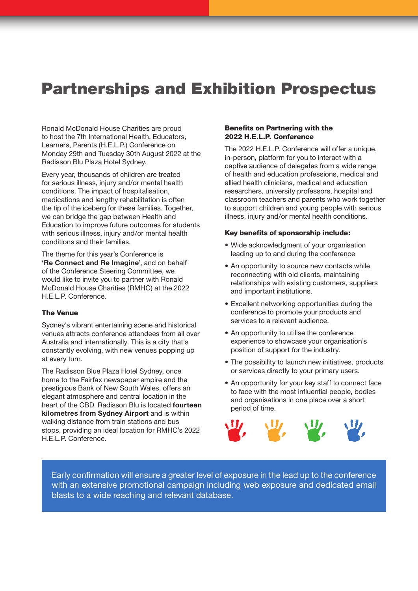## Partnerships and Exhibition Prospectus

Ronald McDonald House Charities are proud to host the 7th International Health, Educators, Learners, Parents (H.E.L.P.) Conference on Monday 29th and Tuesday 30th August 2022 at the Radisson Blu Plaza Hotel Sydney.

Every year, thousands of children are treated for serious illness, injury and/or mental health conditions. The impact of hospitalisation, medications and lengthy rehabilitation is often the tip of the iceberg for these families. Together, we can bridge the gap between Health and Education to improve future outcomes for students with serious illness, injury and/or mental health conditions and their families.

The theme for this year's Conference is **'Re Connect and Re Imagine'**, and on behalf of the Conference Steering Committee, we would like to invite you to partner with Ronald McDonald House Charities (RMHC) at the 2022 H.E.L.P. Conference.

#### The Venue

Sydney's vibrant entertaining scene and historical venues attracts conference attendees from all over Australia and internationally. This is a city that's constantly evolving, with new venues popping up at every turn.

The Radisson Blue Plaza Hotel Sydney, once home to the Fairfax newspaper empire and the prestigious Bank of New South Wales, offers an elegant atmosphere and central location in the heart of the CBD. Radisson Blu is located **fourteen kilometres from Sydney Airport** and is within walking distance from train stations and bus stops, providing an ideal location for RMHC's 2022 H.E.L.P. Conference.

#### Benefits on Partnering with the 2022 H.E.L.P. Conference

The 2022 H.E.L.P. Conference will offer a unique, in-person, platform for you to interact with a captive audience of delegates from a wide range of health and education professions, medical and allied health clinicians, medical and education researchers, university professors, hospital and classroom teachers and parents who work together to support children and young people with serious illness, injury and/or mental health conditions.

#### Key benefits of sponsorship include:

- **•** Wide acknowledgment of your organisation leading up to and during the conference
- **•** An opportunity to source new contacts while reconnecting with old clients, maintaining relationships with existing customers, suppliers and important institutions.
- **•** Excellent networking opportunities during the conference to promote your products and services to a relevant audience.
- **•** An opportunity to utilise the conference experience to showcase your organisation's position of support for the industry.
- **•** The possibility to launch new initiatives, products or services directly to your primary users.
- **•** An opportunity for your key staff to connect face to face with the most influential people, bodies and organisations in one place over a short period of time.



Early confirmation will ensure a greater level of exposure in the lead up to the conference with an extensive promotional campaign including web exposure and dedicated email blasts to a wide reaching and relevant database.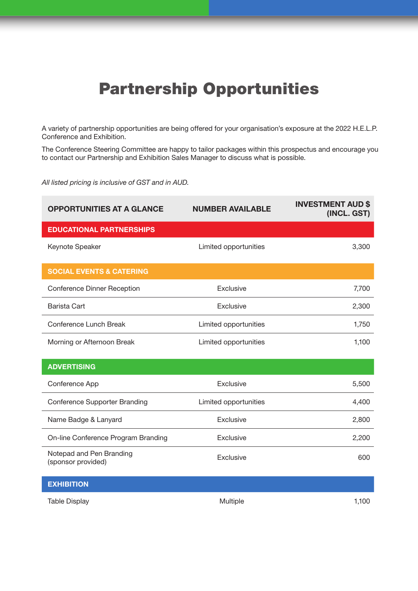# Partnership Opportunities

A variety of partnership opportunities are being offered for your organisation's exposure at the 2022 H.E.L.P. Conference and Exhibition.

The Conference Steering Committee are happy to tailor packages within this prospectus and encourage you to contact our Partnership and Exhibition Sales Manager to discuss what is possible.

*All listed pricing is inclusive of GST and in AUD.*

| <b>OPPORTUNITIES AT A GLANCE</b>               | <b>NUMBER AVAILABLE</b> | <b>INVESTMENT AUD \$</b><br>(INCL. GST) |
|------------------------------------------------|-------------------------|-----------------------------------------|
| <b>EDUCATIONAL PARTNERSHIPS</b>                |                         |                                         |
| Keynote Speaker                                | Limited opportunities   | 3,300                                   |
| <b>SOCIAL EVENTS &amp; CATERING</b>            |                         |                                         |
| <b>Conference Dinner Reception</b>             | Exclusive               | 7,700                                   |
| Barista Cart                                   | Exclusive               | 2,300                                   |
| Conference Lunch Break                         | Limited opportunities   | 1,750                                   |
| Morning or Afternoon Break                     | Limited opportunities   | 1,100                                   |
| <b>ADVERTISING</b>                             |                         |                                         |
| Conference App                                 | Exclusive               | 5,500                                   |
| <b>Conference Supporter Branding</b>           | Limited opportunities   | 4,400                                   |
| Name Badge & Lanyard                           | Exclusive               | 2,800                                   |
| On-line Conference Program Branding            | Exclusive               | 2,200                                   |
| Notepad and Pen Branding<br>(sponsor provided) | Exclusive               | 600                                     |
| <b>EXHIBITION</b>                              |                         |                                         |

Table Display 1,100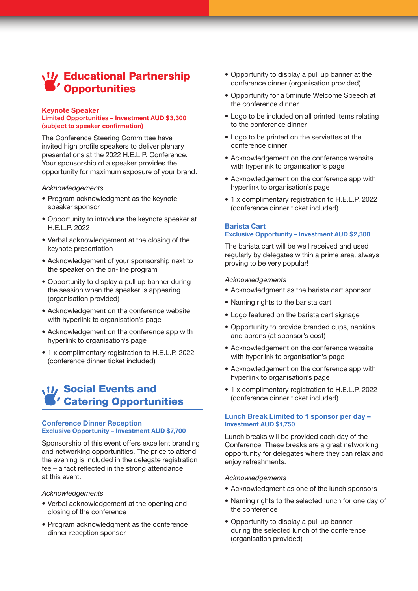## **U** Educational Partnership Opportunities

#### **Keynote Speaker Limited Opportunities – Investment AUD \$3,300 (subject to speaker confirmation)**

The Conference Steering Committee have invited high profile speakers to deliver plenary presentations at the 2022 H.E.L.P. Conference. Your sponsorship of a speaker provides the opportunity for maximum exposure of your brand.

#### *Acknowledgements*

- **•** Program acknowledgment as the keynote speaker sponsor
- **•** Opportunity to introduce the keynote speaker at H.E.L.P. 2022
- **•** Verbal acknowledgement at the closing of the keynote presentation
- **•** Acknowledgement of your sponsorship next to the speaker on the on-line program
- **•** Opportunity to display a pull up banner during the session when the speaker is appearing (organisation provided)
- **•** Acknowledgement on the conference website with hyperlink to organisation's page
- **•** Acknowledgement on the conference app with hyperlink to organisation's page
- **•** 1 x complimentary registration to H.E.L.P. 2022 (conference dinner ticket included)

## **W/Social Events and** Catering Opportunities

#### **Conference Dinner Reception Exclusive Opportunity – Investment AUD \$7,700**

Sponsorship of this event offers excellent branding and networking opportunities. The price to attend the evening is included in the delegate registration fee – a fact reflected in the strong attendance at this event.

#### *Acknowledgements*

- **•** Verbal acknowledgement at the opening and closing of the conference
- **•** Program acknowledgment as the conference dinner reception sponsor
- **•** Opportunity to display a pull up banner at the conference dinner (organisation provided)
- **•** Opportunity for a 5minute Welcome Speech at the conference dinner
- **•** Logo to be included on all printed items relating to the conference dinner
- **•** Logo to be printed on the serviettes at the conference dinner
- **•** Acknowledgement on the conference website with hyperlink to organisation's page
- **•** Acknowledgement on the conference app with hyperlink to organisation's page
- **•** 1 x complimentary registration to H.E.L.P. 2022 (conference dinner ticket included)

#### **Barista Cart Exclusive Opportunity – Investment AUD \$2,300**

The barista cart will be well received and used regularly by delegates within a prime area, always proving to be very popular!

#### *Acknowledgements*

- **•** Acknowledgment as the barista cart sponsor
- **•** Naming rights to the barista cart
- **•** Logo featured on the barista cart signage
- **•** Opportunity to provide branded cups, napkins and aprons (at sponsor's cost)
- **•** Acknowledgement on the conference website with hyperlink to organisation's page
- **•** Acknowledgement on the conference app with hyperlink to organisation's page
- **•** 1 x complimentary registration to H.E.L.P. 2022 (conference dinner ticket included)

#### **Lunch Break Limited to 1 sponsor per day – Investment AUD \$1,750**

Lunch breaks will be provided each day of the Conference. These breaks are a great networking opportunity for delegates where they can relax and enjoy refreshments.

#### *Acknowledgements*

- **•** Acknowledgment as one of the lunch sponsors
- **•** Naming rights to the selected lunch for one day of the conference
- **•** Opportunity to display a pull up banner during the selected lunch of the conference (organisation provided)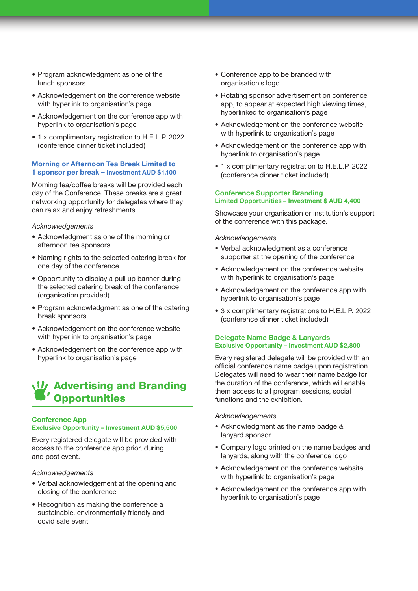- **•** Program acknowledgment as one of the lunch sponsors
- **•** Acknowledgement on the conference website with hyperlink to organisation's page
- **•** Acknowledgement on the conference app with hyperlink to organisation's page
- **•** 1 x complimentary registration to H.E.L.P. 2022 (conference dinner ticket included)

#### **Morning or Afternoon Tea Break Limited to 1 sponsor per break – Investment AUD \$1,100**

Morning tea/coffee breaks will be provided each day of the Conference. These breaks are a great networking opportunity for delegates where they can relax and enjoy refreshments.

#### *Acknowledgements*

- **•** Acknowledgment as one of the morning or afternoon tea sponsors
- **•** Naming rights to the selected catering break for one day of the conference
- **•** Opportunity to display a pull up banner during the selected catering break of the conference (organisation provided)
- **•** Program acknowledgment as one of the catering break sponsors
- **•** Acknowledgement on the conference website with hyperlink to organisation's page
- **•** Acknowledgement on the conference app with hyperlink to organisation's page

## **W** Advertising and Branding **Opportunities**

#### **Conference App Exclusive Opportunity – Investment AUD \$5,500**

Every registered delegate will be provided with access to the conference app prior, during and post event.

#### *Acknowledgements*

- **•** Verbal acknowledgement at the opening and closing of the conference
- **•** Recognition as making the conference a sustainable, environmentally friendly and covid safe event
- **•** Conference app to be branded with organisation's logo
- **•** Rotating sponsor advertisement on conference app, to appear at expected high viewing times, hyperlinked to organisation's page
- **•** Acknowledgement on the conference website with hyperlink to organisation's page
- **•** Acknowledgement on the conference app with hyperlink to organisation's page
- **•** 1 x complimentary registration to H.E.L.P. 2022 (conference dinner ticket included)

#### **Conference Supporter Branding Limited Opportunities – Investment \$ AUD 4,400**

Showcase your organisation or institution's support of the conference with this package.

#### *Acknowledgements*

- **•** Verbal acknowledgment as a conference supporter at the opening of the conference
- **•** Acknowledgement on the conference website with hyperlink to organisation's page
- **•** Acknowledgement on the conference app with hyperlink to organisation's page
- **•** 3 x complimentary registrations to H.E.L.P. 2022 (conference dinner ticket included)

#### **Delegate Name Badge & Lanyards Exclusive Opportunity – Investment AUD \$2,800**

Every registered delegate will be provided with an official conference name badge upon registration. Delegates will need to wear their name badge for the duration of the conference, which will enable them access to all program sessions, social functions and the exhibition.

#### *Acknowledgements*

- **•** Acknowledgment as the name badge & lanyard sponsor
- **•** Company logo printed on the name badges and lanyards, along with the conference logo
- **•** Acknowledgement on the conference website with hyperlink to organisation's page
- **•** Acknowledgement on the conference app with hyperlink to organisation's page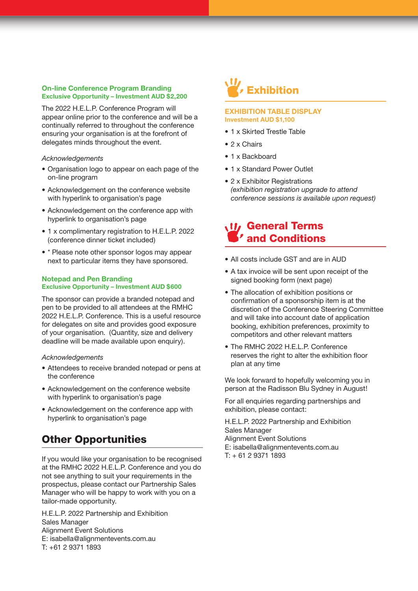#### **On-line Conference Program Branding Exclusive Opportunity – Investment AUD \$2,200**

The 2022 H.E.L.P. Conference Program will appear online prior to the conference and will be a continually referred to throughout the conference ensuring your organisation is at the forefront of delegates minds throughout the event.

#### *Acknowledgements*

- **•** Organisation logo to appear on each page of the on-line program
- **•** Acknowledgement on the conference website with hyperlink to organisation's page
- **•** Acknowledgement on the conference app with hyperlink to organisation's page
- **•** 1 x complimentary registration to H.E.L.P. 2022 (conference dinner ticket included)
- **•** \* Please note other sponsor logos may appear next to particular items they have sponsored.

#### **Notepad and Pen Branding Exclusive Opportunity – Investment AUD \$600**

The sponsor can provide a branded notepad and pen to be provided to all attendees at the RMHC 2022 H.E.L.P. Conference. This is a useful resource for delegates on site and provides good exposure of your organisation. (Quantity, size and delivery deadline will be made available upon enquiry).

#### *Acknowledgements*

- **•** Attendees to receive branded notepad or pens at the conference
- **•** Acknowledgement on the conference website with hyperlink to organisation's page
- **•** Acknowledgement on the conference app with hyperlink to organisation's page

## Other Opportunities

If you would like your organisation to be recognised at the RMHC 2022 H.E.L.P. Conference and you do not see anything to suit your requirements in the prospectus, please contact our Partnership Sales Manager who will be happy to work with you on a tailor-made opportunity.

H.E.L.P. 2022 Partnership and Exhibition Sales Manager Alignment Event Solutions E: isabella@alignmentevents.com.au T: +61 2 9371 1893

# Exhibition

#### **EXHIBITION TABLE DISPLAY Investment AUD \$1,100**

- **•** 1 x Skirted Trestle Table
- **•** 2 x Chairs
- **•** 1 x Backboard
- **•** 1 x Standard Power Outlet
- 2 x Exhibitor Registrations *(exhibition registration upgrade to attend conference sessions is available upon request)*

## **W** General Terms and Conditions

- **•** All costs include GST and are in AUD
- **•** A tax invoice will be sent upon receipt of the signed booking form (next page)
- **•** The allocation of exhibition positions or confirmation of a sponsorship item is at the discretion of the Conference Steering Committee and will take into account date of application booking, exhibition preferences, proximity to competitors and other relevant matters
- **•** The RMHC 2022 H.E.L.P. Conference reserves the right to alter the exhibition floor plan at any time

We look forward to hopefully welcoming you in person at the Radisson Blu Sydney in August!

For all enquiries regarding partnerships and exhibition, please contact:

H.E.L.P. 2022 Partnership and Exhibition Sales Manager Alignment Event Solutions E: isabella@alignmentevents.com.au T: + 61 2 9371 1893